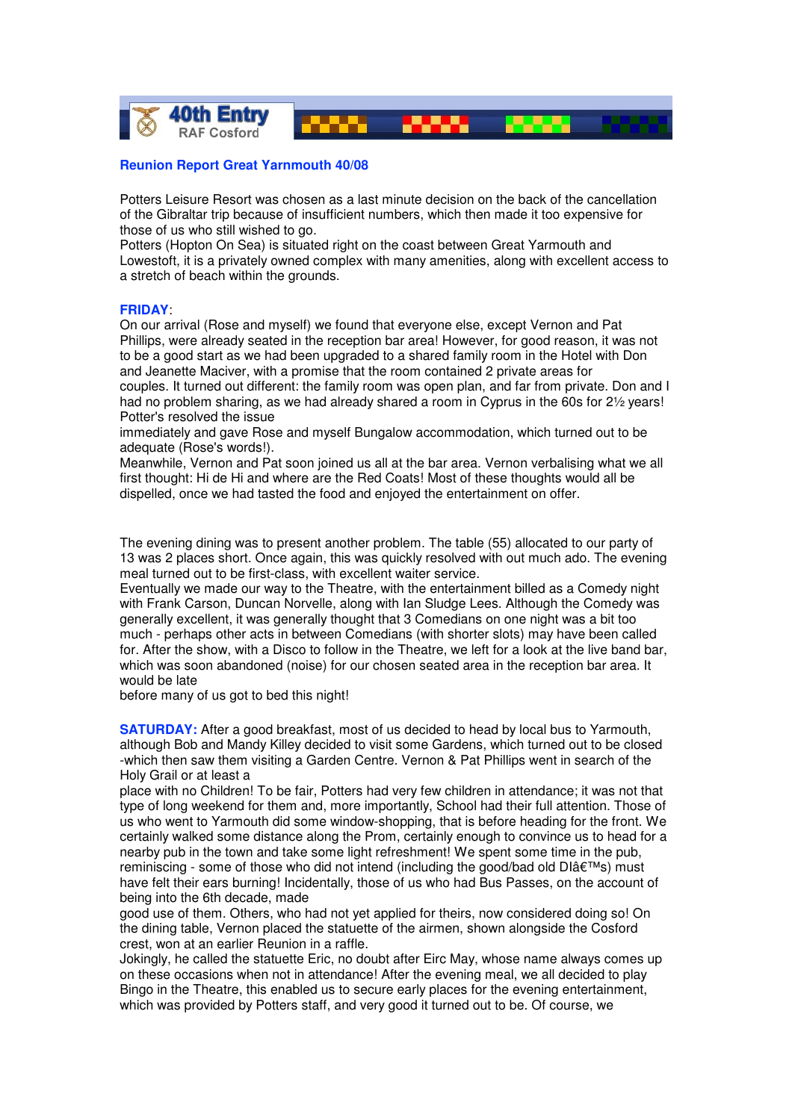

## **Reunion Report Great Yarnmouth 40/08**

Potters Leisure Resort was chosen as a last minute decision on the back of the cancellation of the Gibraltar trip because of insufficient numbers, which then made it too expensive for those of us who still wished to go.

Potters (Hopton On Sea) is situated right on the coast between Great Yarmouth and Lowestoft, it is a privately owned complex with many amenities, along with excellent access to a stretch of beach within the grounds.

## **FRIDAY**:

On our arrival (Rose and myself) we found that everyone else, except Vernon and Pat Phillips, were already seated in the reception bar area! However, for good reason, it was not to be a good start as we had been upgraded to a shared family room in the Hotel with Don and Jeanette Maciver, with a promise that the room contained 2 private areas for couples. It turned out different: the family room was open plan, and far from private. Don and I had no problem sharing, as we had already shared a room in Cyprus in the 60s for 2½ years! Potter's resolved the issue

immediately and gave Rose and myself Bungalow accommodation, which turned out to be adequate (Rose's words!).

Meanwhile, Vernon and Pat soon joined us all at the bar area. Vernon verbalising what we all first thought: Hi de Hi and where are the Red Coats! Most of these thoughts would all be dispelled, once we had tasted the food and enjoyed the entertainment on offer.

The evening dining was to present another problem. The table (55) allocated to our party of 13 was 2 places short. Once again, this was quickly resolved with out much ado. The evening meal turned out to be first-class, with excellent waiter service.

Eventually we made our way to the Theatre, with the entertainment billed as a Comedy night with Frank Carson, Duncan Norvelle, along with Ian Sludge Lees. Although the Comedy was generally excellent, it was generally thought that 3 Comedians on one night was a bit too much - perhaps other acts in between Comedians (with shorter slots) may have been called for. After the show, with a Disco to follow in the Theatre, we left for a look at the live band bar, which was soon abandoned (noise) for our chosen seated area in the reception bar area. It would be late

before many of us got to bed this night!

**SATURDAY:** After a good breakfast, most of us decided to head by local bus to Yarmouth, although Bob and Mandy Killey decided to visit some Gardens, which turned out to be closed -which then saw them visiting a Garden Centre. Vernon & Pat Phillips went in search of the Holy Grail or at least a

place with no Children! To be fair, Potters had very few children in attendance; it was not that type of long weekend for them and, more importantly, School had their full attention. Those of us who went to Yarmouth did some window-shopping, that is before heading for the front. We certainly walked some distance along the Prom, certainly enough to convince us to head for a nearby pub in the town and take some light refreshment! We spent some time in the pub, reminiscing - some of those who did not intend (including the good/bad old  $\text{Dlâf}^{T M}$ s) must have felt their ears burning! Incidentally, those of us who had Bus Passes, on the account of being into the 6th decade, made

good use of them. Others, who had not yet applied for theirs, now considered doing so! On the dining table, Vernon placed the statuette of the airmen, shown alongside the Cosford crest, won at an earlier Reunion in a raffle.

Jokingly, he called the statuette Eric, no doubt after Eirc May, whose name always comes up on these occasions when not in attendance! After the evening meal, we all decided to play Bingo in the Theatre, this enabled us to secure early places for the evening entertainment, which was provided by Potters staff, and very good it turned out to be. Of course, we